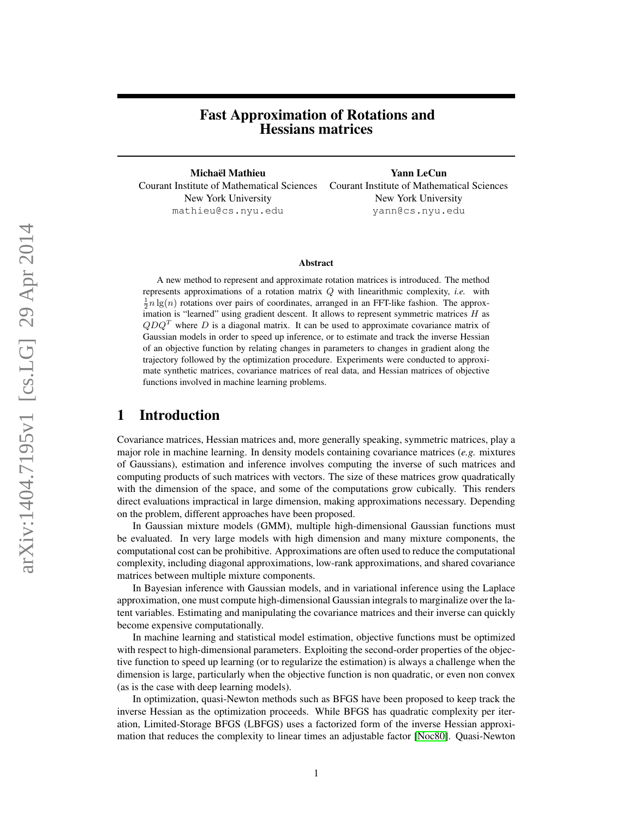# Fast Approximation of Rotations and Hessians matrices

Michael Mathieu Yann LeCun ¨ Courant Institute of Mathematical Sciences Courant Institute of Mathematical Sciences New York University New York University mathieu@cs.nyu.edu yann@cs.nyu.edu

### Abstract

A new method to represent and approximate rotation matrices is introduced. The method represents approximations of a rotation matrix Q with linearithmic complexity, *i.e.* with  $\frac{1}{2}n \lg(n)$  rotations over pairs of coordinates, arranged in an FFT-like fashion. The approximation is "learned" using gradient descent. It allows to represent symmetric matrices  $H$  as  $QDQ<sup>T</sup>$  where D is a diagonal matrix. It can be used to approximate covariance matrix of Gaussian models in order to speed up inference, or to estimate and track the inverse Hessian of an objective function by relating changes in parameters to changes in gradient along the trajectory followed by the optimization procedure. Experiments were conducted to approximate synthetic matrices, covariance matrices of real data, and Hessian matrices of objective functions involved in machine learning problems.

# 1 Introduction

Covariance matrices, Hessian matrices and, more generally speaking, symmetric matrices, play a major role in machine learning. In density models containing covariance matrices (*e.g.* mixtures of Gaussians), estimation and inference involves computing the inverse of such matrices and computing products of such matrices with vectors. The size of these matrices grow quadratically with the dimension of the space, and some of the computations grow cubically. This renders direct evaluations impractical in large dimension, making approximations necessary. Depending on the problem, different approaches have been proposed.

In Gaussian mixture models (GMM), multiple high-dimensional Gaussian functions must be evaluated. In very large models with high dimension and many mixture components, the computational cost can be prohibitive. Approximations are often used to reduce the computational complexity, including diagonal approximations, low-rank approximations, and shared covariance matrices between multiple mixture components.

In Bayesian inference with Gaussian models, and in variational inference using the Laplace approximation, one must compute high-dimensional Gaussian integrals to marginalize over the latent variables. Estimating and manipulating the covariance matrices and their inverse can quickly become expensive computationally.

In machine learning and statistical model estimation, objective functions must be optimized with respect to high-dimensional parameters. Exploiting the second-order properties of the objective function to speed up learning (or to regularize the estimation) is always a challenge when the dimension is large, particularly when the objective function is non quadratic, or even non convex (as is the case with deep learning models).

In optimization, quasi-Newton methods such as BFGS have been proposed to keep track the inverse Hessian as the optimization proceeds. While BFGS has quadratic complexity per iteration, Limited-Storage BFGS (LBFGS) uses a factorized form of the inverse Hessian approximation that reduces the complexity to linear times an adjustable factor [\[Noc80\]](#page-9-0). Quasi-Newton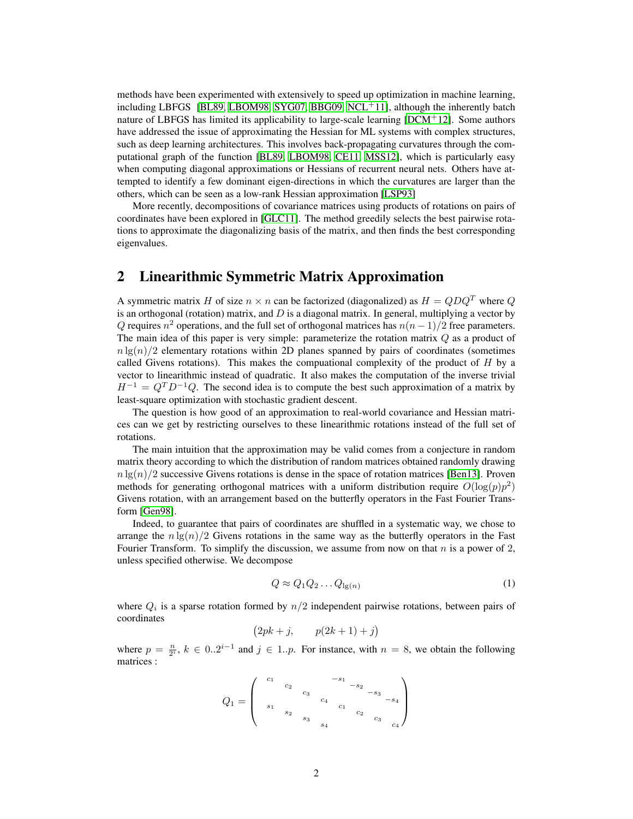methods have been experimented with extensively to speed up optimization in machine learning, including LBFGS [\[BL89,](#page-9-1) [LBOM98,](#page-9-2) [SYG07,](#page-9-3) [BBG09,](#page-9-4) [NCL](#page-9-5)<sup>+11</sup>], although the inherently batch nature of LBFGS has limited its applicability to large-scale learning [\[DCM](#page-9-6)+12]. Some authors have addressed the issue of approximating the Hessian for ML systems with complex structures, such as deep learning architectures. This involves back-propagating curvatures through the computational graph of the function [\[BL89,](#page-9-1) [LBOM98,](#page-9-2) [CE11,](#page-9-7) [MSS12\]](#page-9-8), which is particularly easy when computing diagonal approximations or Hessians of recurrent neural nets. Others have attempted to identify a few dominant eigen-directions in which the curvatures are larger than the others, which can be seen as a low-rank Hessian approximation [\[LSP93\]](#page-9-9)

More recently, decompositions of covariance matrices using products of rotations on pairs of coordinates have been explored in [\[GLC11\]](#page-9-10). The method greedily selects the best pairwise rotations to approximate the diagonalizing basis of the matrix, and then finds the best corresponding eigenvalues.

# 2 Linearithmic Symmetric Matrix Approximation

A symmetric matrix H of size  $n \times n$  can be factorized (diagonalized) as  $H = QDQ^T$  where Q is an orthogonal (rotation) matrix, and  $D$  is a diagonal matrix. In general, multiplying a vector by Q requires  $n^2$  operations, and the full set of orthogonal matrices has  $n(n-1)/2$  free parameters. The main idea of this paper is very simple: parameterize the rotation matrix Q as a product of  $n \lg(n)/2$  elementary rotations within 2D planes spanned by pairs of coordinates (sometimes called Givens rotations). This makes the computaional complexity of the product of  $H$  by a vector to linearithmic instead of quadratic. It also makes the computation of the inverse trivial  $H^{-1} = Q^T D^{-1} Q$ . The second idea is to compute the best such approximation of a matrix by least-square optimization with stochastic gradient descent.

The question is how good of an approximation to real-world covariance and Hessian matrices can we get by restricting ourselves to these linearithmic rotations instead of the full set of rotations.

The main intuition that the approximation may be valid comes from a conjecture in random matrix theory according to which the distribution of random matrices obtained randomly drawing  $n \lg(n)/2$  successive Givens rotations is dense in the space of rotation matrices [\[Ben13\]](#page-9-11). Proven methods for generating orthogonal matrices with a uniform distribution require  $O(\log(p)p^2)$ Givens rotation, with an arrangement based on the butterfly operators in the Fast Fourier Transform [\[Gen98\]](#page-9-12).

Indeed, to guarantee that pairs of coordinates are shuffled in a systematic way, we chose to arrange the  $n \lg(n)/2$  Givens rotations in the same way as the butterfly operators in the Fast Fourier Transform. To simplify the discussion, we assume from now on that  $n$  is a power of 2, unless specified otherwise. We decompose

$$
Q \approx Q_1 Q_2 \dots Q_{\lg(n)} \tag{1}
$$

where  $Q_i$  is a sparse rotation formed by  $n/2$  independent pairwise rotations, between pairs of coordinates

$$
(2pk + j, \qquad p(2k+1) + j)
$$

where  $p = \frac{n}{2^i}$ ,  $k \in 0..2^{i-1}$  and  $j \in 1..p$ . For instance, with  $n = 8$ , we obtain the following matrices :

$$
Q_1=\left(\begin{array}{cccc} c_1 & & & -s_1 & & \\ & c_2 & & & & \\ & c_3 & & & & \\ & s_1 & & & & \\ & s_2 & & & & c_1 & \\ & & s_3 & & & s_4 & \end{array}\right)
$$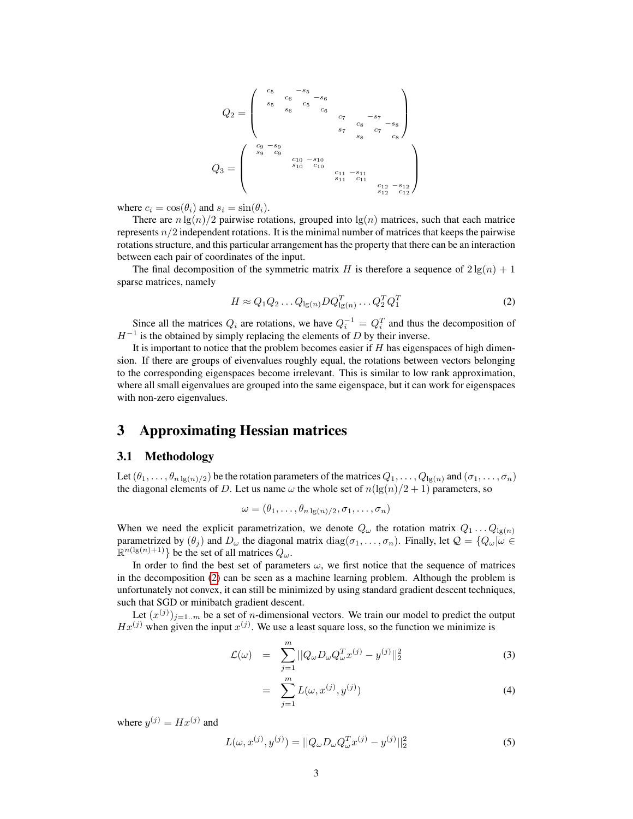Q<sup>2</sup> = c<sup>5</sup> −s<sup>5</sup> c<sup>6</sup> −s<sup>6</sup> s<sup>5</sup> c<sup>5</sup> s<sup>6</sup> c<sup>6</sup> c<sup>7</sup> −s<sup>7</sup> c<sup>8</sup> −s<sup>8</sup> s<sup>7</sup> c<sup>7</sup> s<sup>8</sup> c<sup>8</sup> Q<sup>3</sup> = c<sup>9</sup> −s<sup>9</sup> s<sup>9</sup> c<sup>9</sup> c<sup>10</sup> −s<sup>10</sup> s<sup>10</sup> c<sup>10</sup> c<sup>11</sup> −s<sup>11</sup> s<sup>11</sup> c<sup>11</sup> c<sup>12</sup> −s<sup>12</sup> s<sup>12</sup> c<sup>12</sup> 

where  $c_i = \cos(\theta_i)$  and  $s_i = \sin(\theta_i)$ .

There are  $n \lg(n)/2$  pairwise rotations, grouped into  $\lg(n)$  matrices, such that each matrice represents  $n/2$  independent rotations. It is the minimal number of matrices that keeps the pairwise rotations structure, and this particular arrangement has the property that there can be an interaction between each pair of coordinates of the input.

The final decomposition of the symmetric matrix H is therefore a sequence of  $2\lg(n) + 1$ sparse matrices, namely

<span id="page-2-0"></span>
$$
H \approx Q_1 Q_2 \dots Q_{\lg(n)} D Q_{\lg(n)}^T \dots Q_2^T Q_1^T \tag{2}
$$

Since all the matrices  $Q_i$  are rotations, we have  $Q_i^{-1} = Q_i^T$  and thus the decomposition of  $H^{-1}$  is the obtained by simply replacing the elements of D by their inverse.

It is important to notice that the problem becomes easier if  $H$  has eigenspaces of high dimension. If there are groups of eivenvalues roughly equal, the rotations between vectors belonging to the corresponding eigenspaces become irrelevant. This is similar to low rank approximation, where all small eigenvalues are grouped into the same eigenspace, but it can work for eigenspaces with non-zero eigenvalues.

# 3 Approximating Hessian matrices

## 3.1 Methodology

Let  $(\theta_1,\ldots,\theta_{n\lg(n)/2})$  be the rotation parameters of the matrices  $Q_1,\ldots,Q_{\lg(n)}$  and  $(\sigma_1,\ldots,\sigma_n)$ the diagonal elements of D. Let us name  $\omega$  the whole set of  $n(\lg(n)/2 + 1)$  parameters, so

$$
\omega = (\theta_1, \ldots, \theta_{n \lg(n)/2}, \sigma_1, \ldots, \sigma_n)
$$

When we need the explicit parametrization, we denote  $Q_{\omega}$  the rotation matrix  $Q_1 \dots Q_{\lg(n)}$ parametrized by  $(\theta_i)$  and  $D_\omega$  the diagonal matrix  $\text{diag}(\sigma_1, \ldots, \sigma_n)$ . Finally, let  $\mathcal{Q} = \{Q_\omega | \omega \in \mathcal{Q} \}$  $\mathbb{R}^{n(\lg(n)+1)}$ } be the set of all matrices  $Q_\omega$ .

In order to find the best set of parameters  $\omega$ , we first notice that the sequence of matrices in the decomposition [\(2\)](#page-2-0) can be seen as a machine learning problem. Although the problem is unfortunately not convex, it can still be minimized by using standard gradient descent techniques, such that SGD or minibatch gradient descent.

Let  $(x^{(j)})_{j=1..m}$  be a set of *n*-dimensional vectors. We train our model to predict the output  $Hx^{(j)}$  when given the input  $x^{(j)}$ . We use a least square loss, so the function we minimize is

$$
\mathcal{L}(\omega) = \sum_{j=1}^{m} ||Q_{\omega} D_{\omega} Q_{\omega}^{T} x^{(j)} - y^{(j)}||_{2}^{2}
$$
\n(3)

$$
= \sum_{j=1}^{m} L(\omega, x^{(j)}, y^{(j)}) \tag{4}
$$

where  $y^{(j)} = Hx^{(j)}$  and

$$
L(\omega, x^{(j)}, y^{(j)}) = ||Q_{\omega}D_{\omega}Q_{\omega}^{T}x^{(j)} - y^{(j)}||_{2}^{2}
$$
\n(5)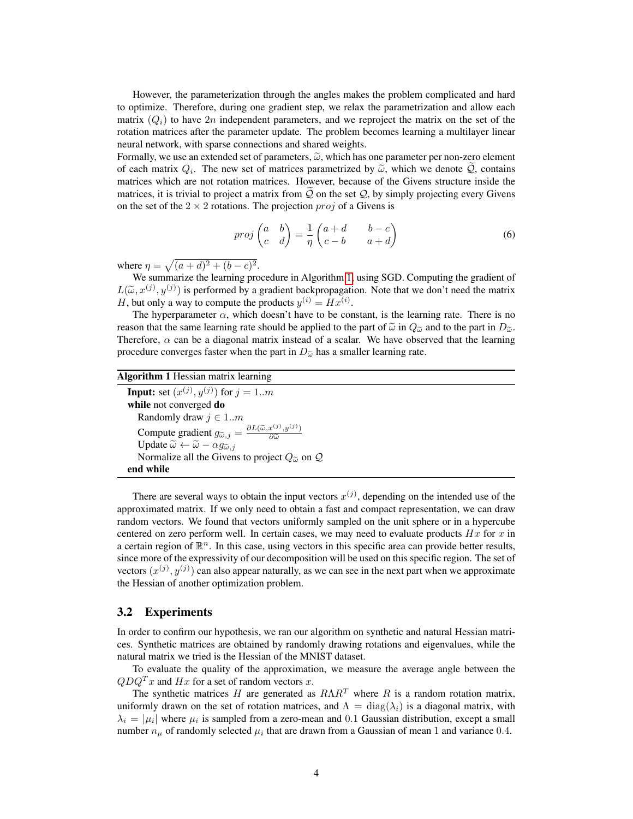However, the parameterization through the angles makes the problem complicated and hard to optimize. Therefore, during one gradient step, we relax the parametrization and allow each matrix  $(Q_i)$  to have 2n independent parameters, and we reproject the matrix on the set of the rotation matrices after the parameter update. The problem becomes learning a multilayer linear neural network, with sparse connections and shared weights.

Formally, we use an extended set of parameters,  $\tilde{\omega}$ , which has one parameter per non-zero element of each matrix  $Q_i$ . The new set of matrices parametrized by  $\tilde{\omega}$ , which we denote  $Q$ , contains matrices which are not rotation matrices. However, because of the Givens structure inside the matrices which are not rotation matrices. However, because of the Givens structure inside the matrices, it is trivial to project a matrix from  $Q$  on the set  $Q$ , by simply projecting every Givens on the set of the  $2 \times 2$  rotations. The projection  $proj$  of a Givens is

<span id="page-3-1"></span>
$$
proj\begin{pmatrix} a & b \\ c & d \end{pmatrix} = \frac{1}{\eta} \begin{pmatrix} a+d & b-c \\ c-b & a+d \end{pmatrix}
$$
 (6)

where  $\eta = \sqrt{(a+d)^2 + (b-c)^2}$ .

We summarize the learning procedure in Algorithm [1,](#page-3-0) using SGD. Computing the gradient of  $L(\tilde{\omega}, x^{(j)}, y^{(j)})$  is performed by a gradient backpropagation. Note that we don't need the matrix  $H$  but only a way to compute the products  $u^{(i)} = H\tilde{w}^{(i)}$ H, but only a way to compute the products  $y^{(i)} = Hx^{(i)}$ .

The hyperparameter  $\alpha$ , which doesn't have to be constant, is the learning rate. There is no reason that the same learning rate should be applied to the part of  $\tilde{\omega}$  in  $Q_{\tilde{\omega}}$  and to the part in  $D_{\tilde{\omega}}$ . Therefore,  $\alpha$  can be a diagonal matrix instead of a scalar. We have observed that the learning procedure converges faster when the part in  $D_{\tilde{\omega}}$  has a smaller learning rate.

### <span id="page-3-0"></span>Algorithm 1 Hessian matrix learning

**Input:** set  $(x^{(j)}, y^{(j)})$  for  $j = 1..m$ while not converged do Randomly draw  $j \in 1..m$ Compute gradient  $g_{\widetilde{\omega},j} = \frac{\partial L(\widetilde{\omega}, x^{(j)}, y^{(j)})}{\partial \widetilde{\omega}}$  $\partial \widetilde{\omega}$ Update  $\widetilde{\omega} \leftarrow \widetilde{\omega} - \alpha g_{\widetilde{\omega},j}$ Normalize all the Givens to project  $Q_{\tilde{\omega}}$  on  $\mathcal Q$ end while

There are several ways to obtain the input vectors  $x^{(j)}$ , depending on the intended use of the approximated matrix. If we only need to obtain a fast and compact representation, we can draw random vectors. We found that vectors uniformly sampled on the unit sphere or in a hypercube centered on zero perform well. In certain cases, we may need to evaluate products  $Hx$  for x in a certain region of  $\mathbb{R}^n$ . In this case, using vectors in this specific area can provide better results, since more of the expressivity of our decomposition will be used on this specific region. The set of vectors  $(x^{(j)}, y^{(j)})$  can also appear naturally, as we can see in the next part when we approximate the Hessian of another optimization problem.

## 3.2 Experiments

In order to confirm our hypothesis, we ran our algorithm on synthetic and natural Hessian matrices. Synthetic matrices are obtained by randomly drawing rotations and eigenvalues, while the natural matrix we tried is the Hessian of the MNIST dataset.

To evaluate the quality of the approximation, we measure the average angle between the  $QDQ^{T}x$  and Hx for a set of random vectors x.

The synthetic matrices H are generated as  $R\Lambda R^{T}$  where R is a random rotation matrix, uniformly drawn on the set of rotation matrices, and  $\Lambda = \text{diag}(\lambda_i)$  is a diagonal matrix, with  $\lambda_i = |\mu_i|$  where  $\mu_i$  is sampled from a zero-mean and 0.1 Gaussian distribution, except a small number  $n_{\mu}$  of randomly selected  $\mu_i$  that are drawn from a Gaussian of mean 1 and variance 0.4.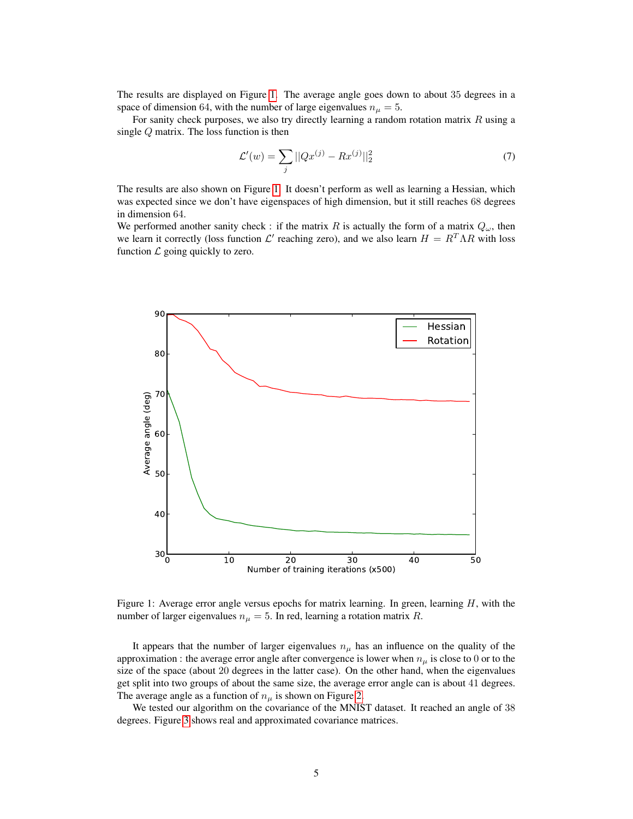The results are displayed on Figure [1.](#page-4-0) The average angle goes down to about 35 degrees in a space of dimension 64, with the number of large eigenvalues  $n_{\mu} = 5$ .

For sanity check purposes, we also try directly learning a random rotation matrix  $R$  using a single Q matrix. The loss function is then

$$
\mathcal{L}'(w) = \sum_{j} ||Qx^{(j)} - Rx^{(j)}||_2^2 \tag{7}
$$

The results are also shown on Figure [1.](#page-4-0) It doesn't perform as well as learning a Hessian, which was expected since we don't have eigenspaces of high dimension, but it still reaches 68 degrees in dimension 64.

We performed another sanity check : if the matrix R is actually the form of a matrix  $Q_{\omega}$ , then we learn it correctly (loss function  $\mathcal{L}'$  reaching zero), and we also learn  $H = R^T \Lambda R$  with loss function  $\mathcal L$  going quickly to zero.



<span id="page-4-0"></span>Figure 1: Average error angle versus epochs for matrix learning. In green, learning  $H$ , with the number of larger eigenvalues  $n_{\mu} = 5$ . In red, learning a rotation matrix R.

It appears that the number of larger eigenvalues  $n<sub>\mu</sub>$  has an influence on the quality of the approximation : the average error angle after convergence is lower when  $n_{\mu}$  is close to 0 or to the size of the space (about 20 degrees in the latter case). On the other hand, when the eigenvalues get split into two groups of about the same size, the average error angle can is about 41 degrees. The average angle as a function of  $n<sub>\mu</sub>$  is shown on Figure [2.](#page-5-0)

We tested our algorithm on the covariance of the MNIST dataset. It reached an angle of 38 degrees. Figure [3](#page-5-1) shows real and approximated covariance matrices.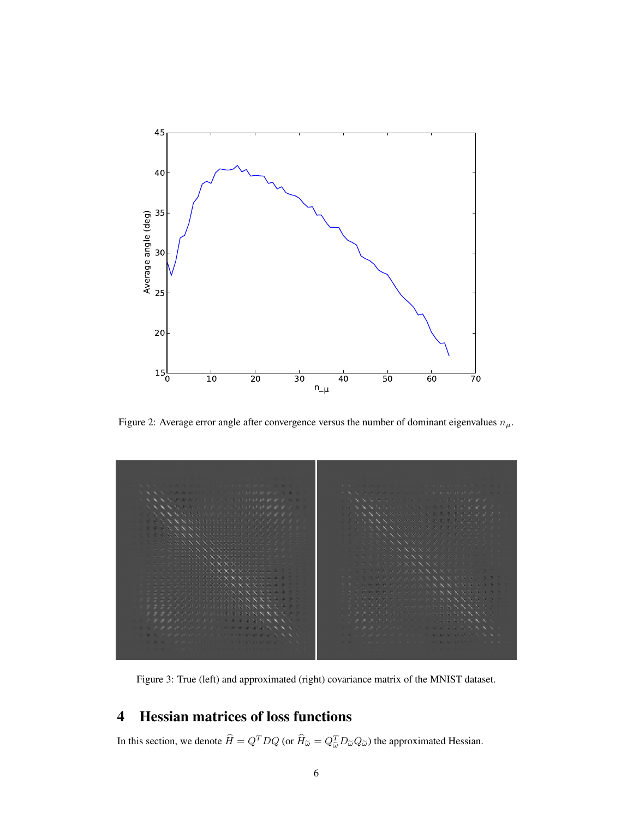

<span id="page-5-0"></span>Figure 2: Average error angle after convergence versus the number of dominant eigenvalues  $n_{\mu}$ .



<span id="page-5-1"></span>Figure 3: True (left) and approximated (right) covariance matrix of the MNIST dataset.

# 4 Hessian matrices of loss functions

In this section, we denote  $\hat{H} = Q^T D Q$  (or  $\hat{H}_{\tilde{\omega}} = Q_{\tilde{\omega}}^T D_{\tilde{\omega}} Q_{\tilde{\omega}}$ ) the approximated Hessian.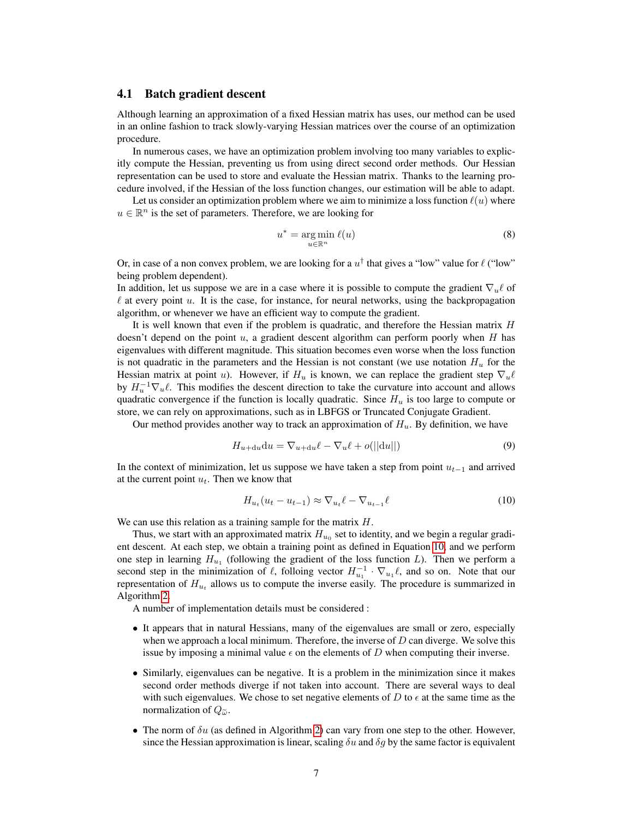### 4.1 Batch gradient descent

Although learning an approximation of a fixed Hessian matrix has uses, our method can be used in an online fashion to track slowly-varying Hessian matrices over the course of an optimization procedure.

In numerous cases, we have an optimization problem involving too many variables to explicitly compute the Hessian, preventing us from using direct second order methods. Our Hessian representation can be used to store and evaluate the Hessian matrix. Thanks to the learning procedure involved, if the Hessian of the loss function changes, our estimation will be able to adapt.

Let us consider an optimization problem where we aim to minimize a loss function  $\ell(u)$  where  $u \in \mathbb{R}^n$  is the set of parameters. Therefore, we are looking for

$$
u^* = \underset{u \in \mathbb{R}^n}{\arg \min} \ell(u) \tag{8}
$$

Or, in case of a non convex problem, we are looking for a  $u^{\dagger}$  that gives a "low" value for  $\ell$  ("low" being problem dependent).

In addition, let us suppose we are in a case where it is possible to compute the gradient  $\nabla_u \ell$  of  $\ell$  at every point u. It is the case, for instance, for neural networks, using the backpropagation algorithm, or whenever we have an efficient way to compute the gradient.

It is well known that even if the problem is quadratic, and therefore the Hessian matrix  $H$ doesn't depend on the point  $u$ , a gradient descent algorithm can perform poorly when H has eigenvalues with different magnitude. This situation becomes even worse when the loss function is not quadratic in the parameters and the Hessian is not constant (we use notation  $H_u$  for the Hessian matrix at point u). However, if  $H_u$  is known, we can replace the gradient step  $\nabla_u \ell$ by  $H_u^{-1} \nabla_u \ell$ . This modifies the descent direction to take the curvature into account and allows quadratic convergence if the function is locally quadratic. Since  $H_u$  is too large to compute or store, we can rely on approximations, such as in LBFGS or Truncated Conjugate Gradient.

Our method provides another way to track an approximation of  $H_u$ . By definition, we have

$$
H_{u+du}du = \nabla_{u+du}\ell - \nabla_u\ell + o(||du||)
$$
\n(9)

In the context of minimization, let us suppose we have taken a step from point  $u_{t-1}$  and arrived at the current point  $u_t$ . Then we know that

<span id="page-6-0"></span>
$$
H_{u_t}(u_t - u_{t-1}) \approx \nabla_{u_t} \ell - \nabla_{u_{t-1}} \ell \tag{10}
$$

We can use this relation as a training sample for the matrix  $H$ .

Thus, we start with an approximated matrix  $H_{u_0}$  set to identity, and we begin a regular gradient descent. At each step, we obtain a training point as defined in Equation [10,](#page-6-0) and we perform one step in learning  $H_{u_1}$  (following the gradient of the loss function L). Then we perform a second step in the minimization of  $\ell$ , folloing vector  $H_{u_1}^{-1} \cdot \nabla_{u_1} \ell$ , and so on. Note that our representation of  $H_{u_t}$  allows us to compute the inverse easily. The procedure is summarized in Algorithm [2.](#page-7-0)

A number of implementation details must be considered :

- It appears that in natural Hessians, many of the eigenvalues are small or zero, especially when we approach a local minimum. Therefore, the inverse of  $D$  can diverge. We solve this issue by imposing a minimal value  $\epsilon$  on the elements of D when computing their inverse.
- Similarly, eigenvalues can be negative. It is a problem in the minimization since it makes second order methods diverge if not taken into account. There are several ways to deal with such eigenvalues. We chose to set negative elements of D to  $\epsilon$  at the same time as the normalization of  $Q_{\tilde{\omega}}$ .
- The norm of  $\delta u$  (as defined in Algorithm [2\)](#page-7-0) can vary from one step to the other. However, since the Hessian approximation is linear, scaling  $\delta u$  and  $\delta g$  by the same factor is equivalent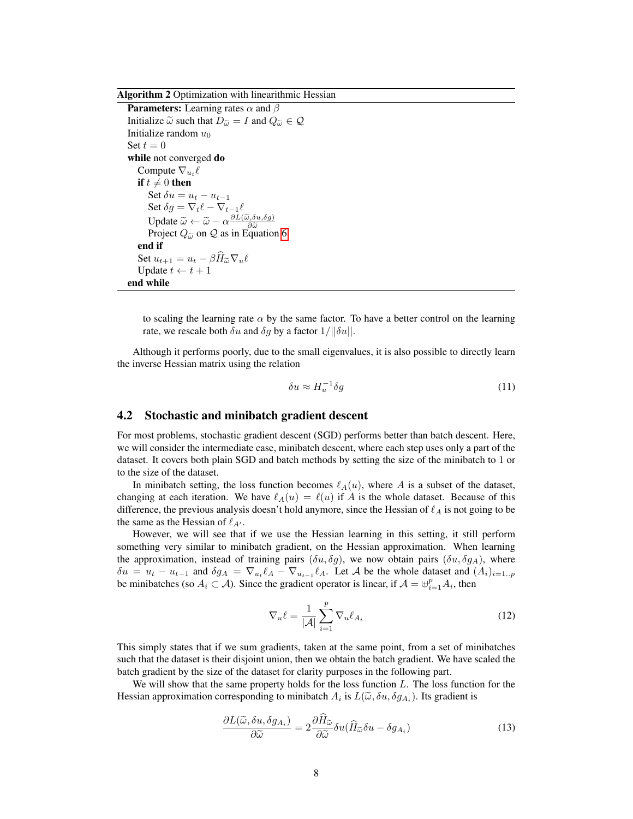#### <span id="page-7-0"></span>Algorithm 2 Optimization with linearithmic Hessian

```
Parameters: Learning rates \alpha and \betaInitialize \tilde{\omega} such that D_{\tilde{\omega}} = I and Q_{\tilde{\omega}} \in \mathcal{Q}Initialize random u_0Set t = 0while not converged do
 Compute \nabla_{u_t} \ellif t \neq 0 then
      Set \delta u = u_t - u_{t-1}Set \delta g = \nabla_t \ell - \nabla_{t-1}\ellUpdate \widetilde{\omega} \leftarrow \widetilde{\omega} - \alpha \frac{\partial L(\widetilde{\omega}, \delta u, \delta g)}{\partial \widetilde{\omega}}<br>Project \Omega \approx on \Omega as in Equation
                                                      ∂ῶ<br>՛au
      Project Q_{\tilde{\omega}} on Q 6
 end if
Set u_{t+1} = u_t - \beta \widehat{H}_{\widetilde{\omega}} \nabla_u \ellUpdate t \leftarrow t + 1end while
```
to scaling the learning rate  $\alpha$  by the same factor. To have a better control on the learning rate, we rescale both  $\delta u$  and  $\delta g$  by a factor  $1/||\delta u||$ .

Although it performs poorly, due to the small eigenvalues, it is also possible to directly learn the inverse Hessian matrix using the relation

$$
\delta u \approx H_u^{-1} \delta g \tag{11}
$$

## 4.2 Stochastic and minibatch gradient descent

For most problems, stochastic gradient descent (SGD) performs better than batch descent. Here, we will consider the intermediate case, minibatch descent, where each step uses only a part of the dataset. It covers both plain SGD and batch methods by setting the size of the minibatch to 1 or to the size of the dataset.

In minibatch setting, the loss function becomes  $\ell_A(u)$ , where A is a subset of the dataset, changing at each iteration. We have  $\ell_A(u) = \ell(u)$  if A is the whole dataset. Because of this difference, the previous analysis doesn't hold anymore, since the Hessian of  $\ell_A$  is not going to be the same as the Hessian of  $\ell_{A'}$ .

However, we will see that if we use the Hessian learning in this setting, it still perform something very similar to minibatch gradient, on the Hessian approximation. When learning the approximation, instead of training pairs  $(\delta u, \delta g)$ , we now obtain pairs  $(\delta u, \delta g_A)$ , where  $\delta u = u_t - u_{t-1}$  and  $\delta g_A = \nabla_{u_t} \ell_A - \nabla_{u_{t-1}} \ell_A$ . Let A be the whole dataset and  $(A_i)_{i=1..p}$ be minibatches (so  $A_i \subset A$ ). Since the gradient operator is linear, if  $A = \biguplus_{i=1}^{p} A_i$ , then

$$
\nabla_u \ell = \frac{1}{|\mathcal{A}|} \sum_{i=1}^p \nabla_u \ell_{A_i}
$$
 (12)

This simply states that if we sum gradients, taken at the same point, from a set of minibatches such that the dataset is their disjoint union, then we obtain the batch gradient. We have scaled the batch gradient by the size of the dataset for clarity purposes in the following part.

We will show that the same property holds for the loss function  $L$ . The loss function for the Hessian approximation corresponding to minibatch  $A_i$  is  $L(\tilde{\omega}, \delta u, \delta g_{A_i})$ . Its gradient is

$$
\frac{\partial L(\widetilde{\omega}, \delta u, \delta g_{A_i})}{\partial \widetilde{\omega}} = 2 \frac{\partial \widehat{H}_{\widetilde{\omega}}}{\partial \widetilde{\omega}} \delta u (\widehat{H}_{\widetilde{\omega}} \delta u - \delta g_{A_i}) \tag{13}
$$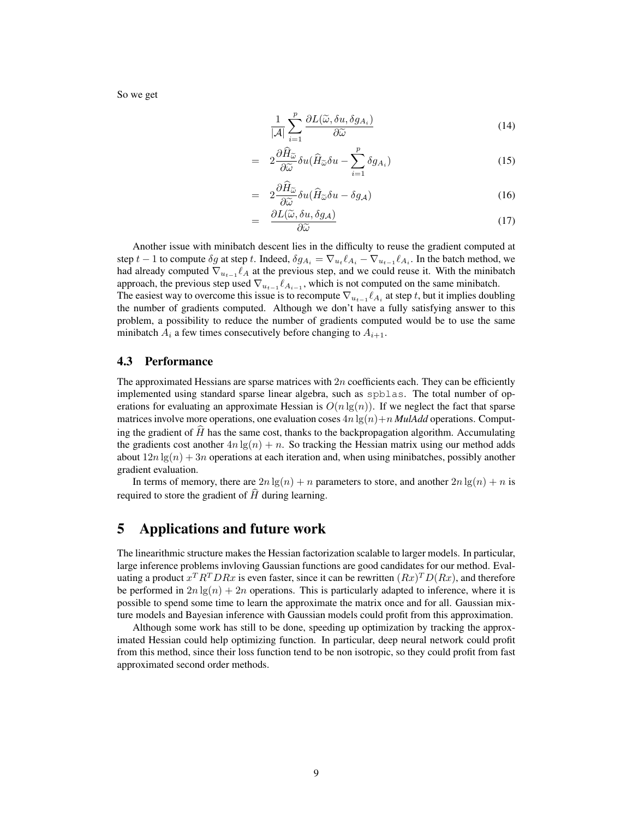So we get

$$
\frac{1}{|\mathcal{A}|} \sum_{i=1}^{p} \frac{\partial L(\widetilde{\omega}, \delta u, \delta g_{A_i})}{\partial \widetilde{\omega}}
$$
\n(14)

$$
= 2 \frac{\partial \widehat{H}_{\widetilde{\omega}}}{\partial \widetilde{\omega}} \delta u (\widehat{H}_{\widetilde{\omega}} \delta u - \sum_{i=1}^{p} \delta g_{A_i}) \tag{15}
$$

$$
= 2\frac{\partial \widehat{H}_{\widetilde{\omega}}}{\partial \widetilde{\omega}} \delta u (\widehat{H}_{\widetilde{\omega}} \delta u - \delta g_{\mathcal{A}})
$$
\n
$$
\frac{\partial L(\widetilde{\omega}, \delta u, \delta a)}{\partial \widetilde{\omega}} \delta u
$$
\n(16)

$$
= \frac{\partial L(\widetilde{\omega}, \delta u, \delta g_{\mathcal{A}})}{\partial \widetilde{\omega}}
$$
(17)

Another issue with minibatch descent lies in the difficulty to reuse the gradient computed at step  $t-1$  to compute  $\delta g$  at step  $t.$  Indeed,  $\delta g_{A_i} = \nabla_{u_t} \ell_{A_i} - \nabla_{u_{t-1}} \ell_{A_i}.$  In the batch method, we had already computed  $\nabla_{u_{t-1}} \ell_A$  at the previous step, and we could reuse it. With the minibatch approach, the previous step used  $\nabla_{u_{t-1}} \ell_{A_{i-1}}$ , which is not computed on the same minibatch. The easiest way to overcome this issue is to recompute  $\nabla_{u_{t-1}} \ell_{A_i}$  at step t, but it implies doubling the number of gradients computed. Although we don't have a fully satisfying answer to this problem, a possibility to reduce the number of gradients computed would be to use the same minibatch  $A_i$  a few times consecutively before changing to  $A_{i+1}$ .

## 4.3 Performance

The approximated Hessians are sparse matrices with  $2n$  coefficients each. They can be efficiently implemented using standard sparse linear algebra, such as spblas. The total number of operations for evaluating an approximate Hessian is  $O(n \lg(n))$ . If we neglect the fact that sparse matrices involve more operations, one evaluation coses  $4n \lg(n) + n \textit{MulAdd}$  operations. Computing the gradient of  $H$  has the same cost, thanks to the backpropagation algorithm. Accumulating the gradients cost another  $4n \lg(n) + n$ . So tracking the Hessian matrix using our method adds about  $12n \lg(n) + 3n$  operations at each iteration and, when using minibatches, possibly another gradient evaluation.

In terms of memory, there are  $2n \lg(n) + n$  parameters to store, and another  $2n \lg(n) + n$  is required to store the gradient of  $\hat{H}$  during learning.

# 5 Applications and future work

The linearithmic structure makes the Hessian factorization scalable to larger models. In particular, large inference problems invloving Gaussian functions are good candidates for our method. Evaluating a product  $x^T R^T D R x$  is even faster, since it can be rewritten  $(Rx)^T D(Rx)$ , and therefore be performed in  $2n \lg(n) + 2n$  operations. This is particularly adapted to inference, where it is possible to spend some time to learn the approximate the matrix once and for all. Gaussian mixture models and Bayesian inference with Gaussian models could profit from this approximation.

Although some work has still to be done, speeding up optimization by tracking the approximated Hessian could help optimizing function. In particular, deep neural network could profit from this method, since their loss function tend to be non isotropic, so they could profit from fast approximated second order methods.